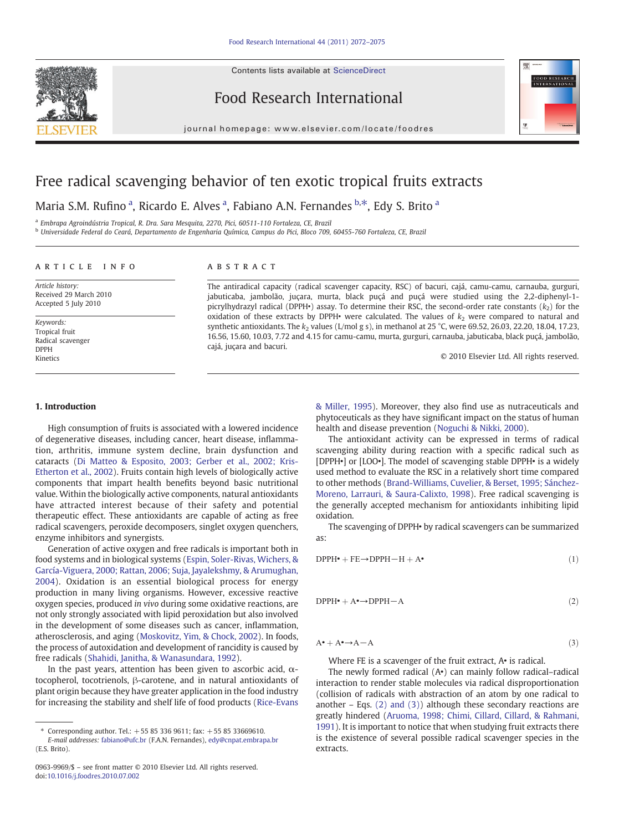Contents lists available at [ScienceDirect](http://www.sciencedirect.com/science/journal/09639969)



Food Research International



journal homepage: www.elsevier.com/locate/foodres

# Free radical scavenging behavior of ten exotic tropical fruits extracts

Maria S.M. Rufino<sup>a</sup>, Ricardo E. Alves<sup>a</sup>, Fabiano A.N. Fernandes b.\*, Edy S. Brito<sup>a</sup>

<sup>a</sup> Embrapa Agroindústria Tropical, R. Dra. Sara Mesquita, 2270, Pici, 60511-110 Fortaleza, CE, Brazil

<sup>b</sup> Universidade Federal do Ceará, Departamento de Engenharia Química, Campus do Pici, Bloco 709, 60455-760 Fortaleza, CE, Brazil

# article info abstract

Article history: Received 29 March 2010 Accepted 5 July 2010

Keywords: Tropical fruit Radical scavenger DPPH Kinetics

The antiradical capacity (radical scavenger capacity, RSC) of bacuri, cajá, camu-camu, carnauba, gurguri, jabuticaba, jambolão, juçara, murta, black puçá and puçá were studied using the 2,2-diphenyl-1 picrylhydrazyl radical (DPPH•) assay. To determine their RSC, the second-order rate constants  $(k_2)$  for the oxidation of these extracts by DPPH• were calculated. The values of  $k_2$  were compared to natural and synthetic antioxidants. The  $k_2$  values (L/mol g s), in methanol at 25 °C, were 69.52, 26.03, 22.20, 18.04, 17.23, 16.56, 15.60, 10.03, 7.72 and 4.15 for camu-camu, murta, gurguri, carnauba, jabuticaba, black puçá, jambolão, cajá, juçara and bacuri.

© 2010 Elsevier Ltd. All rights reserved.

# 1. Introduction

High consumption of fruits is associated with a lowered incidence of degenerative diseases, including cancer, heart disease, inflammation, arthritis, immune system decline, brain dysfunction and cataracts ([Di Matteo & Esposito, 2003; Gerber et al., 2002; Kris-](#page-2-0)[Etherton et al., 2002\)](#page-2-0). Fruits contain high levels of biologically active components that impart health benefits beyond basic nutritional value. Within the biologically active components, natural antioxidants have attracted interest because of their safety and potential therapeutic effect. These antioxidants are capable of acting as free radical scavengers, peroxide decomposers, singlet oxygen quenchers, enzyme inhibitors and synergists.

Generation of active oxygen and free radicals is important both in food systems and in biological systems [\(Espin, Soler-Rivas, Wichers, &](#page-2-0) [García-Viguera, 2000; Rattan, 2006; Suja, Jayalekshmy, & Arumughan,](#page-2-0) [2004](#page-2-0)). Oxidation is an essential biological process for energy production in many living organisms. However, excessive reactive oxygen species, produced in vivo during some oxidative reactions, are not only strongly associated with lipid peroxidation but also involved in the development of some diseases such as cancer, inflammation, atherosclerosis, and aging ([Moskovitz, Yim, & Chock, 2002](#page-2-0)). In foods, the process of autoxidation and development of rancidity is caused by free radicals [\(Shahidi, Janitha, & Wanasundara, 1992](#page-3-0)).

In the past years, attention has been given to ascorbic acid,  $\alpha$ tocopherol, tocotrienols, β-carotene, and in natural antioxidants of plant origin because they have greater application in the food industry for increasing the stability and shelf life of food products [\(Rice-Evans](#page-3-0)

[& Miller, 1995](#page-3-0)). Moreover, they also find use as nutraceuticals and phytoceuticals as they have significant impact on the status of human health and disease prevention ([Noguchi & Nikki, 2000\)](#page-3-0).

The antioxidant activity can be expressed in terms of radical scavenging ability during reaction with a specific radical such as [DPPH•] or [LOO•]. The model of scavenging stable DPPH• is a widely used method to evaluate the RSC in a relatively short time compared to other methods [\(Brand-Williams, Cuvelier, & Berset, 1995; Sánchez-](#page-2-0)[Moreno, Larrauri, & Saura-Calixto, 1998](#page-2-0)). Free radical scavenging is the generally accepted mechanism for antioxidants inhibiting lipid oxidation.

The scavenging of DPPH• by radical scavengers can be summarized as:

$$
DPPH^{\bullet} + FE \to DPPH - H + A^{\bullet}
$$
\n<sup>(1)</sup>

$$
DPPH^{\bullet} + A^{\bullet} \rightarrow DPPH - A \tag{2}
$$

 $A^{\bullet} + A^{\bullet} \rightarrow A - A$  (3)

Where FE is a scavenger of the fruit extract, A. is radical.

The newly formed radical (A•) can mainly follow radical–radical interaction to render stable molecules via radical disproportionation (collision of radicals with abstraction of an atom by one radical to another  $-$  Eqs. (2) and (3)) although these secondary reactions are greatly hindered [\(Aruoma, 1998; Chimi, Cillard, Cillard, & Rahmani,](#page-2-0) [1991\)](#page-2-0). It is important to notice that when studying fruit extracts there is the existence of several possible radical scavenger species in the extracts.

<sup>⁎</sup> Corresponding author. Tel.: +55 85 336 9611; fax: +55 85 33669610.

E-mail addresses: [fabiano@ufc.br](mailto:fabiano@ufc.br) (F.A.N. Fernandes), [edy@cnpat.embrapa.br](mailto:edy@cnpat.embrapa.br) (E.S. Brito).

<sup>0963-9969/\$</sup> – see front matter © 2010 Elsevier Ltd. All rights reserved. doi[:10.1016/j.foodres.2010.07.002](http://dx.doi.org/10.1016/j.foodres.2010.07.002)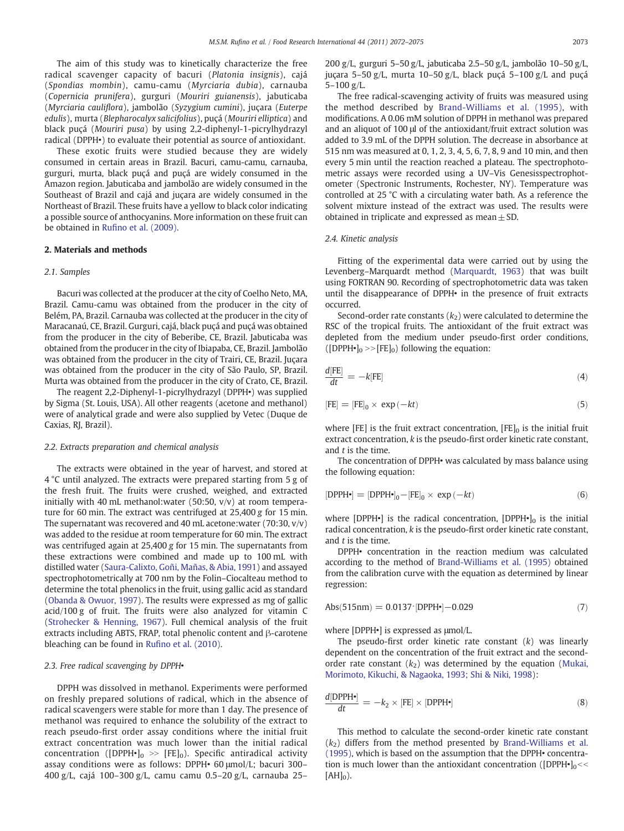The aim of this study was to kinetically characterize the free radical scavenger capacity of bacuri (Platonia insignis), cajá (Spondias mombin), camu-camu (Myrciaria dubia), carnauba (Copernicia prunifera), gurguri (Mouriri guianensis), jabuticaba (Myrciaria cauliflora), jambolão (Syzygium cumini), juçara (Euterpe edulis), murta (Blepharocalyx salicifolius), puçá (Mouriri elliptica) and black puçá (Mouriri pusa) by using 2,2-diphenyl-1-picrylhydrazyl radical (DPPH•) to evaluate their potential as source of antioxidant.

These exotic fruits were studied because they are widely consumed in certain areas in Brazil. Bacuri, camu-camu, carnauba, gurguri, murta, black puçá and puçá are widely consumed in the Amazon region. Jabuticaba and jambolão are widely consumed in the Southeast of Brazil and cajá and juçara are widely consumed in the Northeast of Brazil. These fruits have a yellow to black color indicating a possible source of anthocyanins. More information on these fruit can be obtained in Rufi[no et al. \(2009\).](#page-3-0)

#### 2. Materials and methods

#### 2.1. Samples

Bacuri was collected at the producer at the city of Coelho Neto, MA, Brazil. Camu-camu was obtained from the producer in the city of Belém, PA, Brazil. Carnauba was collected at the producer in the city of Maracanaú, CE, Brazil. Gurguri, cajá, black puçá and puçá was obtained from the producer in the city of Beberibe, CE, Brazil. Jabuticaba was obtained from the producer in the city of Ibiapaba, CE, Brazil. Jambolão was obtained from the producer in the city of Trairi, CE, Brazil. Juçara was obtained from the producer in the city of São Paulo, SP, Brazil. Murta was obtained from the producer in the city of Crato, CE, Brazil.

The reagent 2,2-Diphenyl-1-picrylhydrazyl (DPPH•) was supplied by Sigma (St. Louis, USA). All other reagents (acetone and methanol) were of analytical grade and were also supplied by Vetec (Duque de Caxias, RJ, Brazil).

#### 2.2. Extracts preparation and chemical analysis

The extracts were obtained in the year of harvest, and stored at 4 °C until analyzed. The extracts were prepared starting from 5 g of the fresh fruit. The fruits were crushed, weighed, and extracted initially with 40 mL methanol: water (50:50,  $v/v$ ) at room temperature for 60 min. The extract was centrifuged at 25,400 g for 15 min. The supernatant was recovered and 40 mL acetone:water (70:30, v/v) was added to the residue at room temperature for 60 min. The extract was centrifuged again at 25,400 g for 15 min. The supernatants from these extractions were combined and made up to 100 mL with distilled water ([Saura-Calixto, Goñi, Mañas, & Abia, 1991\)](#page-3-0) and assayed spectrophotometrically at 700 nm by the Folin–Ciocalteau method to determine the total phenolics in the fruit, using gallic acid as standard [\(Obanda & Owuor, 1997](#page-3-0)). The results were expressed as mg of gallic acid/100 g of fruit. The fruits were also analyzed for vitamin C [\(Strohecker & Henning, 1967](#page-3-0)). Full chemical analysis of the fruit extracts including ABTS, FRAP, total phenolic content and β-carotene bleaching can be found in Rufi[no et al. \(2010\).](#page-3-0)

#### 2.3. Free radical scavenging by DPPH $\cdot$

DPPH was dissolved in methanol. Experiments were performed on freshly prepared solutions of radical, which in the absence of radical scavengers were stable for more than 1 day. The presence of methanol was required to enhance the solubility of the extract to reach pseudo-first order assay conditions where the initial fruit extract concentration was much lower than the initial radical concentration ([DPPH•] $_0$  >> [FE] $_0$ ). Specific antiradical activity assay conditions were as follows: DPPH• 60 μmol/L; bacuri 300– 400 g/L, cajá 100–300 g/L, camu camu 0.5–20 g/L, carnauba 25–

200 g/L, gurguri 5–50 g/L, jabuticaba 2.5–50 g/L, jambolão 10–50 g/L, juçara 5–50 g/L, murta 10–50 g/L, black puçá 5–100 g/L and puçá  $5-100 \sigma / L$ 

The free radical-scavenging activity of fruits was measured using the method described by [Brand-Williams et al. \(1995\),](#page-2-0) with modifications. A 0.06 mM solution of DPPH in methanol was prepared and an aliquot of 100 μl of the antioxidant/fruit extract solution was added to 3.9 mL of the DPPH solution. The decrease in absorbance at 515 nm was measured at 0, 1, 2, 3, 4, 5, 6, 7, 8, 9 and 10 min, and then every 5 min until the reaction reached a plateau. The spectrophotometric assays were recorded using a UV–Vis Genesisspectrophotometer (Spectronic Instruments, Rochester, NY). Temperature was controlled at 25 °C with a circulating water bath. As a reference the solvent mixture instead of the extract was used. The results were obtained in triplicate and expressed as mean  $\pm$  SD.

#### 2.4. Kinetic analysis

Fitting of the experimental data were carried out by using the Levenberg–Marquardt method [\(Marquardt, 1963](#page-2-0)) that was built using FORTRAN 90. Recording of spectrophotometric data was taken until the disappearance of DPPH• in the presence of fruit extracts occurred.

Second-order rate constants  $(k_2)$  were calculated to determine the RSC of the tropical fruits. The antioxidant of the fruit extract was depleted from the medium under pseudo-first order conditions, ( $[DPPH•]_0 \rightarrow [FE]_0$ ) following the equation:

$$
\frac{d[FE]}{dt} = -k[FE] \tag{4}
$$

$$
[FE] = [FE]_0 \times \exp(-kt) \tag{5}
$$

where [FE] is the fruit extract concentration,  $[FE]_0$  is the initial fruit extract concentration, k is the pseudo-first order kinetic rate constant, and  $t$  is the time.

The concentration of DPPH• was calculated by mass balance using the following equation:

$$
[DPPH\bullet] = [DPPH\bullet]_0 - [FE]_0 \times \exp(-kt) \tag{6}
$$

where [DPPH•] is the radical concentration,  $[DPPH•]_0$  is the initial radical concentration, k is the pseudo-first order kinetic rate constant, and  $t$  is the time.

DPPH• concentration in the reaction medium was calculated according to the method of [Brand-Williams et al. \(1995\)](#page-2-0) obtained from the calibration curve with the equation as determined by linear regression:

$$
\mathrm{Abs}(515\mathrm{nm}) = 0.0137 \cdot [\mathrm{DPPH} \bullet] - 0.029 \tag{7}
$$

where [DPPH•] is expressed as μmol/L.

The pseudo-first order kinetic rate constant  $(k)$  was linearly dependent on the concentration of the fruit extract and the secondorder rate constant  $(k_2)$  was determined by the equation ([Mukai,](#page-2-0) [Morimoto, Kikuchi, & Nagaoka, 1993; Shi & Niki, 1998](#page-2-0)):

$$
\frac{d[\text{DPPH}^{\bullet}]}{dt} = -k_2 \times [\text{FE}] \times [\text{DPPH}^{\bullet}]
$$
 (8)

This method to calculate the second-order kinetic rate constant  $(k<sub>2</sub>)$  differs from the method presented by [Brand-Williams et al.](#page-2-0) [\(1995\),](#page-2-0) which is based on the assumption that the DPPH• concentration is much lower than the antioxidant concentration ([DPPH $\bullet$ ] $<$  $[AH]_0$ ).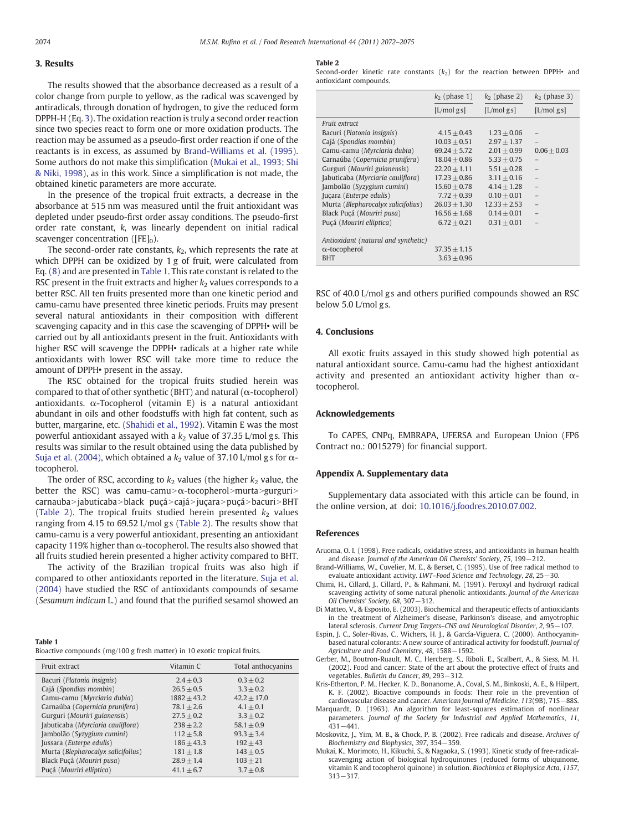# <span id="page-2-0"></span>3. Results

The results showed that the absorbance decreased as a result of a color change from purple to yellow, as the radical was scavenged by antiradicals, through donation of hydrogen, to give the reduced form DPPH-H (Eq. 3). The oxidation reaction is truly a second order reaction since two species react to form one or more oxidation products. The reaction may be assumed as a pseudo-first order reaction if one of the reactants is in excess, as assumed by Brand-Williams et al. (1995). Some authors do not make this simplification (Mukai et al., 1993; Shi & Niki, 1998), as in this work. Since a simplification is not made, the obtained kinetic parameters are more accurate.

In the presence of the tropical fruit extracts, a decrease in the absorbance at 515 nm was measured until the fruit antioxidant was depleted under pseudo-first order assay conditions. The pseudo-first order rate constant, k, was linearly dependent on initial radical scavenger concentration ( $[FE]_0$ ).

The second-order rate constants,  $k_2$ , which represents the rate at which DPPH can be oxidized by 1 g of fruit, were calculated from Eq. (8) and are presented in Table 1. This rate constant is related to the RSC present in the fruit extracts and higher  $k_2$  values corresponds to a better RSC. All ten fruits presented more than one kinetic period and camu-camu have presented three kinetic periods. Fruits may present several natural antioxidants in their composition with different scavenging capacity and in this case the scavenging of DPPH• will be carried out by all antioxidants present in the fruit. Antioxidants with higher RSC will scavenge the DPPH• radicals at a higher rate while antioxidants with lower RSC will take more time to reduce the amount of DPPH• present in the assay.

The RSC obtained for the tropical fruits studied herein was compared to that of other synthetic (BHT) and natural ( $\alpha$ -tocopherol) antioxidants.  $\alpha$ -Tocopherol (vitamin E) is a natural antioxidant abundant in oils and other foodstuffs with high fat content, such as butter, margarine, etc. [\(Shahidi et al., 1992\)](#page-3-0). Vitamin E was the most powerful antioxidant assayed with a  $k_2$  value of 37.35 L/mol gs. This results was similar to the result obtained using the data published by [Suja et al. \(2004\)](#page-3-0), which obtained a  $k_2$  value of 37.10 L/mol gs for  $\alpha$ tocopherol.

The order of RSC, according to  $k_2$  values (the higher  $k_2$  value, the better the RSC) was camu-camu $\alpha$ -tocopherol>murta>gurguri> carnauba > jabuticaba > black puçá > cajá > juçara > puçá > bacuri > BHT (Table 2). The tropical fruits studied herein presented  $k_2$  values ranging from 4.15 to 69.52 L/mol gs (Table 2). The results show that camu-camu is a very powerful antioxidant, presenting an antioxidant capacity 119% higher than  $\alpha$ -tocopherol. The results also showed that all fruits studied herein presented a higher activity compared to BHT.

The activity of the Brazilian tropical fruits was also high if compared to other antioxidants reported in the literature. [Suja et al.](#page-3-0) [\(2004\)](#page-3-0) have studied the RSC of antioxidants compounds of sesame (Sesamum indicum L.) and found that the purified sesamol showed an

Bioactive compounds (mg/100 g fresh matter) in 10 exotic tropical fruits.

| Fruit extract                      | Vitamin C      | Total anthocyanins |
|------------------------------------|----------------|--------------------|
| Bacuri (Platonia insignis)         | $2.4 + 0.3$    | $0.3 + 0.2$        |
| Cajá (Spondias mombin)             | $26.5 \pm 0.5$ | $3.3 + 0.2$        |
| Camu-camu (Myrciaria dubia)        | $1882 + 43.2$  | $42.2 + 17.0$      |
| Carnaúba (Copernicia prunifera)    | $78.1 + 2.6$   | $4.1 + 0.1$        |
| Gurguri (Mouriri guianensis)       | $27.5 \pm 0.2$ | $3.3 \pm 0.2$      |
| Jabuticaba (Myrciaria cauliflora)  | $238 + 2.2$    | $58.1 + 0.9$       |
| Jambolão (Syzygium cumini)         | $112 + 5.8$    | $93.3 + 3.4$       |
| Jussara (Euterpe edulis)           | $186 \pm 43.3$ | $192 + 43$         |
| Murta (Blepharocalyx salicifolius) | $181 \pm 1.8$  | $143 + 0.5$        |
| Black Puçá (Mouriri pusa)          | $28.9 + 1.4$   | $103 + 21$         |
| Puçá (Mouriri elliptica)           | $41.1 + 6.7$   | $3.7 + 0.8$        |

#### Table 2

Second-order kinetic rate constants  $(k_2)$  for the reaction between DPPH• and antioxidant compounds.

|                                     | $k_2$ (phase 1)  | $k_2$ (phase 2) | $k_2$ (phase 3) |
|-------------------------------------|------------------|-----------------|-----------------|
|                                     | [L/molgs]        | $[L/mol$ gs]    | $[L/mol$ gs]    |
| Fruit extract                       |                  |                 |                 |
| Bacuri (Platonia insignis)          | $4.15 + 0.43$    | $1.23 + 0.06$   |                 |
| Cajá (Spondias mombin)              | $10.03 + 0.51$   | $2.97 + 1.37$   |                 |
| Camu-camu (Myrciaria dubia)         | $69.24 + 5.72$   | $2.01 + 0.99$   | $0.06 + 0.03$   |
| Carnaúba (Copernicia prunifera)     | $18.04 + 0.86$   | $5.33 + 0.75$   |                 |
| Gurguri (Mouriri guianensis)        | $22.20 + 1.11$   | $5.51 + 0.28$   | $\overline{a}$  |
| Jabuticaba (Myrciaria cauliflora)   | $17.23 \pm 0.86$ | $3.11 + 0.16$   |                 |
| Jambolão (Syzygium cumini)          | $15.60 + 0.78$   | $4.14 + 1.28$   |                 |
| Juçara (Euterpe edulis)             | $7.72 + 0.39$    | $0.10 + 0.01$   |                 |
| Murta (Blepharocalyx salicifolius)  | $26.03 + 1.30$   | $12.33 + 2.53$  |                 |
| Black Puçá (Mouriri pusa)           | $16.56 + 1.68$   | $0.14 + 0.01$   |                 |
| Puçá (Mouriri elliptica)            | $6.72 + 0.21$    | $0.31 + 0.01$   |                 |
|                                     |                  |                 |                 |
| Antioxidant (natural and synthetic) |                  |                 |                 |
| $\alpha$ -tocopherol                | $37.35 + 1.15$   |                 |                 |
| <b>BHT</b>                          | $3.63 + 0.96$    |                 |                 |

RSC of 40.0 L/mol gs and others purified compounds showed an RSC below 5.0 L/mol g s.

#### 4. Conclusions

All exotic fruits assayed in this study showed high potential as natural antioxidant source. Camu-camu had the highest antioxidant activity and presented an antioxidant activity higher than  $\alpha$ tocopherol.

### Acknowledgements

To CAPES, CNPq, EMBRAPA, UFERSA and European Union (FP6 Contract no.: 0015279) for financial support.

### Appendix A. Supplementary data

Supplementary data associated with this article can be found, in the online version, at doi: [10.1016/j.foodres.2010.07.002](http://dx.doi.org/10.1016/j.foodres.2010.07.002).

#### References

- Aruoma, O. I. (1998). Free radicals, oxidative stress, and antioxidants in human health and disease. Journal of the American Oil Chemists' Society, 75, 199−212.
- Brand-Williams, W., Cuvelier, M. E., & Berset, C. (1995). Use of free radical method to evaluate antioxidant activity. LWT–Food Science and Technology, 28, 25−30.
- Chimi, H., Cillard, J., Cillard, P., & Rahmani, M. (1991). Peroxyl and hydroxyl radical scavenging activity of some natural phenolic antioxidants. Journal of the American Oil Chemists' Society, 68, 307−312.
- Di Matteo, V., & Esposito, E. (2003). Biochemical and therapeutic effects of antioxidants in the treatment of Alzheimer's disease, Parkinson's disease, and amyotrophic lateral sclerosis. Current Drug Targets–CNS and Neurological Disorder, 2, 95−107.
- Espin, J. C., Soler-Rivas, C., Wichers, H. J., & García-Viguera, C. (2000). Anthocyaninbased natural colorants: A new source of antiradical activity for foodstuff. Journal of Agriculture and Food Chemistry, 48, 1588−1592.
- Gerber, M., Boutron-Ruault, M. C., Hercberg, S., Riboli, E., Scalbert, A., & Siess, M. H. (2002). Food and cancer: State of the art about the protective effect of fruits and vegetables. Bulletin du Cancer, 89, 293−312.
- Kris-Etherton, P. M., Hecker, K. D., Bonanome, A., Coval, S. M., Binkoski, A. E., & Hilpert, K. F. (2002). Bioactive compounds in foods: Their role in the prevention of cardiovascular disease and cancer. American Journal of Medicine, 113(9B), 71S−88S.
- Marquardt, D. (1963). An algorithm for least-squares estimation of nonlinear parameters. Journal of the Society for Industrial and Applied Mathematics, 11, 431−441.
- Moskovitz, J., Yim, M. B., & Chock, P. B. (2002). Free radicals and disease. Archives of Biochemistry and Biophysics, 397, 354−359.
- Mukai, K., Morimoto, H., Kikuchi, S., & Nagaoka, S. (1993). Kinetic study of free-radicalscavenging action of biological hydroquinones (reduced forms of ubiquinone, vitamin K and tocopherol quinone) in solution. Biochimica et Biophysica Acta, 1157, 313−317.